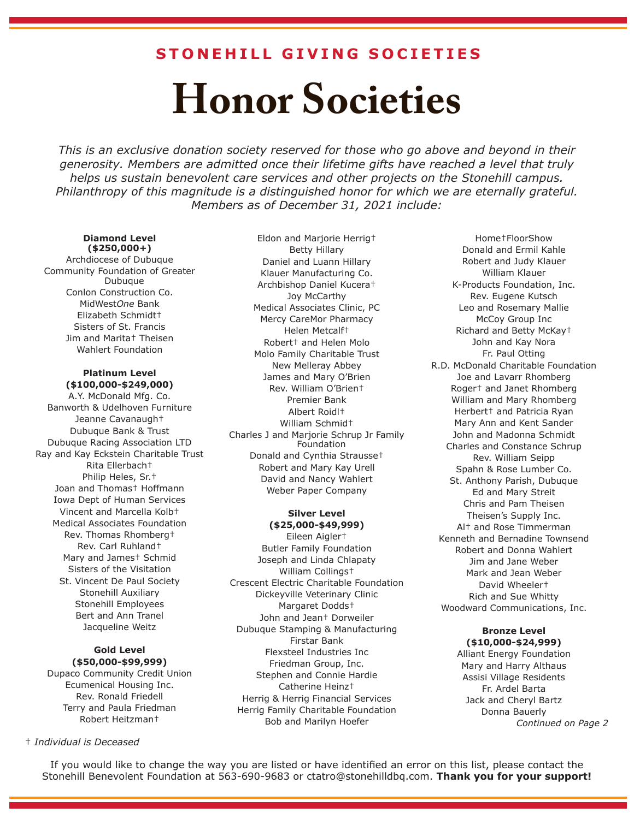### **STONEHILL GIVING SOCIETIES**

# **Honor Societies**

*This is an exclusive donation society reserved for those who go above and beyond in their generosity. Members are admitted once their lifetime gifts have reached a level that truly helps us sustain benevolent care services and other projects on the Stonehill campus. Philanthropy of this magnitude is a distinguished honor for which we are eternally grateful. Members as of December 31, 2021 include:*

#### **Diamond Level (\$250,000+)**

Archdiocese of Dubuque Community Foundation of Greater Dubuque Conlon Construction Co. MidWest*One* Bank Elizabeth Schmidt† Sisters of St. Francis Jim and Marita† Theisen Wahlert Foundation

#### **Platinum Level (\$100,000-\$249,000)**

A.Y. McDonald Mfg. Co. Banworth & Udelhoven Furniture Jeanne Cavanaugh† Dubuque Bank & Trust Dubuque Racing Association LTD Ray and Kay Eckstein Charitable Trust Rita Ellerbach† Philip Heles, Sr.† Joan and Thomas† Hoffmann Iowa Dept of Human Services Vincent and Marcella Kolb† Medical Associates Foundation Rev. Thomas Rhomberg† Rev. Carl Ruhland† Mary and James† Schmid Sisters of the Visitation St. Vincent De Paul Society Stonehill Auxiliary Stonehill Employees Bert and Ann Tranel Jacqueline Weitz

#### **Gold Level (\$50,000-\$99,999)** Dupaco Community Credit Union

Ecumenical Housing Inc. Rev. Ronald Friedell Terry and Paula Friedman Robert Heitzman†

#### † *Individual is Deceased*

Eldon and Marjorie Herrig† Betty Hillary Daniel and Luann Hillary Klauer Manufacturing Co. Archbishop Daniel Kucera† Joy McCarthy Medical Associates Clinic, PC Mercy CareMor Pharmacy Helen Metcalf† Robert† and Helen Molo Molo Family Charitable Trust New Melleray Abbey James and Mary O'Brien Rev. William O'Brien† Premier Bank Albert Roidl† William Schmid† Charles J and Marjorie Schrup Jr Family Foundation Donald and Cynthia Strausse† Robert and Mary Kay Urell David and Nancy Wahlert Weber Paper Company

#### **Silver Level (\$25,000-\$49,999)**

Eileen Aigler† Butler Family Foundation Joseph and Linda Chlapaty William Collings† Crescent Electric Charitable Foundation Dickeyville Veterinary Clinic Margaret Dodds† John and Jean† Dorweiler Dubuque Stamping & Manufacturing Firstar Bank Flexsteel Industries Inc Friedman Group, Inc. Stephen and Connie Hardie Catherine Heinz† Herrig & Herrig Financial Services Herrig Family Charitable Foundation Bob and Marilyn Hoefer

Home†FloorShow Donald and Ermil Kahle Robert and Judy Klauer William Klauer K-Products Foundation, Inc. Rev. Eugene Kutsch Leo and Rosemary Mallie McCoy Group Inc Richard and Betty McKay† John and Kay Nora Fr. Paul Otting R.D. McDonald Charitable Foundation Joe and Lavarr Rhomberg Roger† and Janet Rhomberg William and Mary Rhomberg Herbert† and Patricia Ryan Mary Ann and Kent Sander John and Madonna Schmidt Charles and Constance Schrup Rev. William Seipp Spahn & Rose Lumber Co. St. Anthony Parish, Dubuque Ed and Mary Streit Chris and Pam Theisen Theisen's Supply Inc. Al† and Rose Timmerman Kenneth and Bernadine Townsend Robert and Donna Wahlert Jim and Jane Weber Mark and Jean Weber David Wheeler† Rich and Sue Whitty Woodward Communications, Inc.

#### **Bronze Level (\$10,000-\$24,999)**

Alliant Energy Foundation Mary and Harry Althaus Assisi Village Residents Fr. Ardel Barta Jack and Cheryl Bartz Donna Bauerly *Continued on Page 2*

If you would like to change the way you are listed or have identified an error on this list, please contact the Stonehill Benevolent Foundation at 563-690-9683 or ctatro@stonehilldbq.com. **Thank you for your support!**